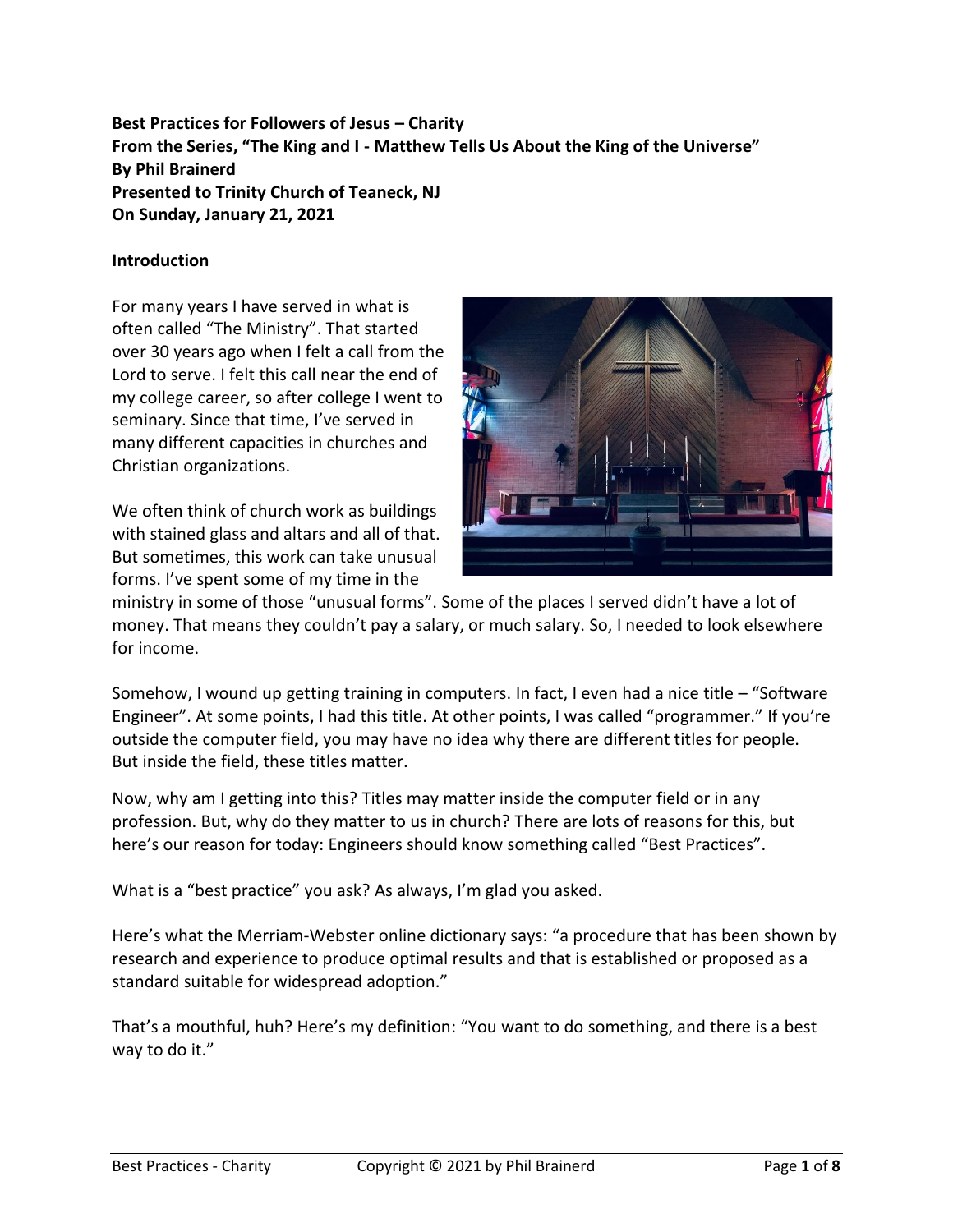**Best Practices for Followers of Jesus – Charity From the Series, "The King and I - Matthew Tells Us About the King of the Universe" By Phil Brainerd Presented to Trinity Church of Teaneck, NJ On Sunday, January 21, 2021**

### **Introduction**

For many years I have served in what is often called "The Ministry". That started over 30 years ago when I felt a call from the Lord to serve. I felt this call near the end of my college career, so after college I went to seminary. Since that time, I've served in many different capacities in churches and Christian organizations.

We often think of church work as buildings with stained glass and altars and all of that. But sometimes, this work can take unusual forms. I've spent some of my time in the



ministry in some of those "unusual forms". Some of the places I served didn't have a lot of money. That means they couldn't pay a salary, or much salary. So, I needed to look elsewhere for income.

Somehow, I wound up getting training in computers. In fact, I even had a nice title – "Software Engineer". At some points, I had this title. At other points, I was called "programmer." If you're outside the computer field, you may have no idea why there are different titles for people. But inside the field, these titles matter.

Now, why am I getting into this? Titles may matter inside the computer field or in any profession. But, why do they matter to us in church? There are lots of reasons for this, but here's our reason for today: Engineers should know something called "Best Practices".

What is a "best practice" you ask? As always, I'm glad you asked.

Here's what the Merriam-Webster online dictionary says: "a procedure that has been shown by research and experience to produce optimal results and that is established or proposed as a standard suitable for widespread adoption."

That's a mouthful, huh? Here's my definition: "You want to do something, and there is a best way to do it."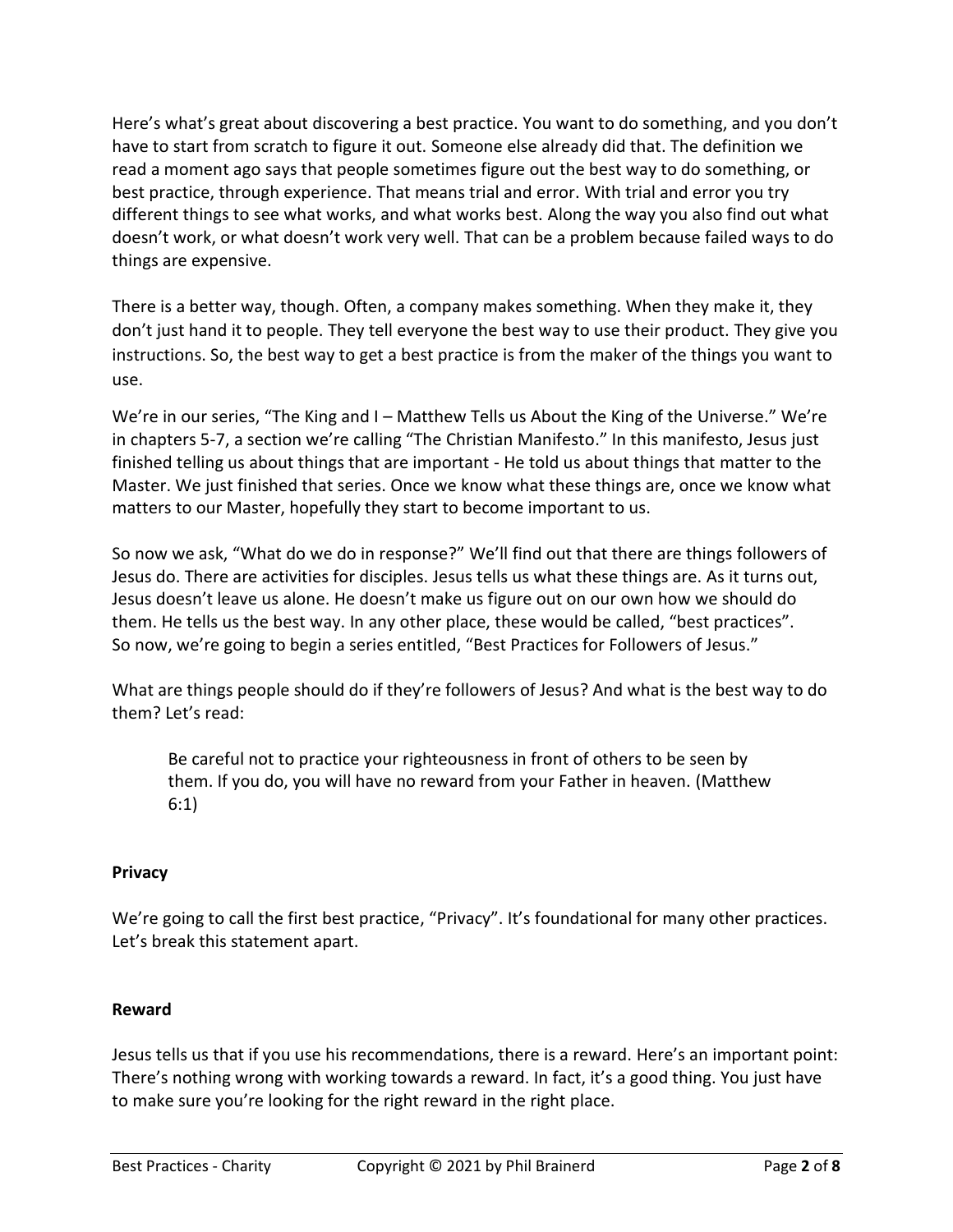Here's what's great about discovering a best practice. You want to do something, and you don't have to start from scratch to figure it out. Someone else already did that. The definition we read a moment ago says that people sometimes figure out the best way to do something, or best practice, through experience. That means trial and error. With trial and error you try different things to see what works, and what works best. Along the way you also find out what doesn't work, or what doesn't work very well. That can be a problem because failed ways to do things are expensive.

There is a better way, though. Often, a company makes something. When they make it, they don't just hand it to people. They tell everyone the best way to use their product. They give you instructions. So, the best way to get a best practice is from the maker of the things you want to use.

We're in our series, "The King and I – Matthew Tells us About the King of the Universe." We're in chapters 5-7, a section we're calling "The Christian Manifesto." In this manifesto, Jesus just finished telling us about things that are important - He told us about things that matter to the Master. We just finished that series. Once we know what these things are, once we know what matters to our Master, hopefully they start to become important to us.

So now we ask, "What do we do in response?" We'll find out that there are things followers of Jesus do. There are activities for disciples. Jesus tells us what these things are. As it turns out, Jesus doesn't leave us alone. He doesn't make us figure out on our own how we should do them. He tells us the best way. In any other place, these would be called, "best practices". So now, we're going to begin a series entitled, "Best Practices for Followers of Jesus."

What are things people should do if they're followers of Jesus? And what is the best way to do them? Let's read:

Be careful not to practice your righteousness in front of others to be seen by them. If you do, you will have no reward from your Father in heaven. (Matthew 6:1)

# **Privacy**

We're going to call the first best practice, "Privacy". It's foundational for many other practices. Let's break this statement apart.

# **Reward**

Jesus tells us that if you use his recommendations, there is a reward. Here's an important point: There's nothing wrong with working towards a reward. In fact, it's a good thing. You just have to make sure you're looking for the right reward in the right place.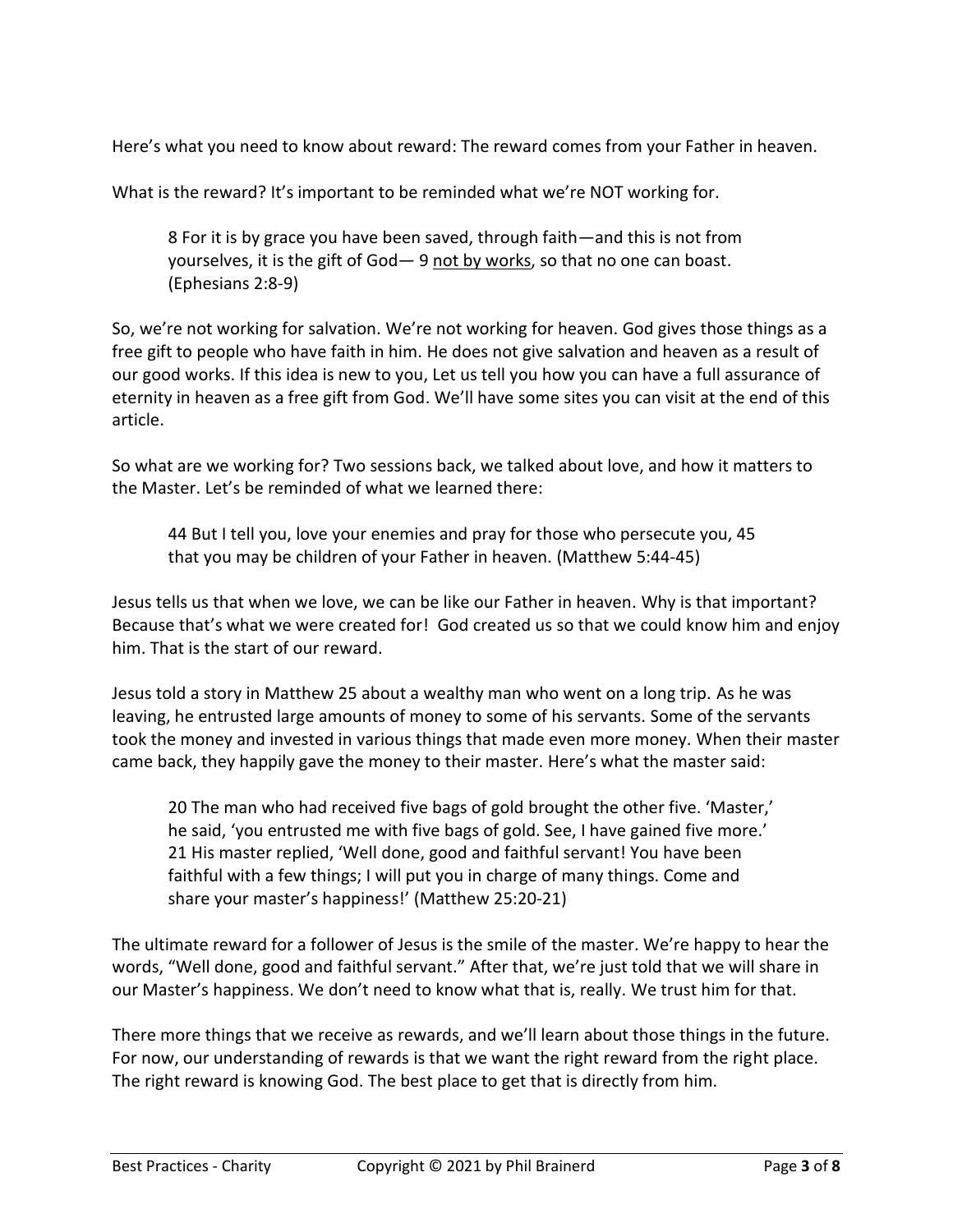Here's what you need to know about reward: The reward comes from your Father in heaven.

What is the reward? It's important to be reminded what we're NOT working for.

8 For it is by grace you have been saved, through faith—and this is not from yourselves, it is the gift of God— 9 not by works, so that no one can boast. (Ephesians 2:8-9)

So, we're not working for salvation. We're not working for heaven. God gives those things as a free gift to people who have faith in him. He does not give salvation and heaven as a result of our good works. If this idea is new to you, Let us tell you how you can have a full assurance of eternity in heaven as a free gift from God. We'll have some sites you can visit at the end of this article.

So what are we working for? Two sessions back, we talked about love, and how it matters to the Master. Let's be reminded of what we learned there:

44 But I tell you, love your enemies and pray for those who persecute you, 45 that you may be children of your Father in heaven. (Matthew 5:44-45)

Jesus tells us that when we love, we can be like our Father in heaven. Why is that important? Because that's what we were created for! God created us so that we could know him and enjoy him. That is the start of our reward.

Jesus told a story in Matthew 25 about a wealthy man who went on a long trip. As he was leaving, he entrusted large amounts of money to some of his servants. Some of the servants took the money and invested in various things that made even more money. When their master came back, they happily gave the money to their master. Here's what the master said:

20 The man who had received five bags of gold brought the other five. 'Master,' he said, 'you entrusted me with five bags of gold. See, I have gained five more.' 21 His master replied, 'Well done, good and faithful servant! You have been faithful with a few things; I will put you in charge of many things. Come and share your master's happiness!' (Matthew 25:20-21)

The ultimate reward for a follower of Jesus is the smile of the master. We're happy to hear the words, "Well done, good and faithful servant." After that, we're just told that we will share in our Master's happiness. We don't need to know what that is, really. We trust him for that.

There more things that we receive as rewards, and we'll learn about those things in the future. For now, our understanding of rewards is that we want the right reward from the right place. The right reward is knowing God. The best place to get that is directly from him.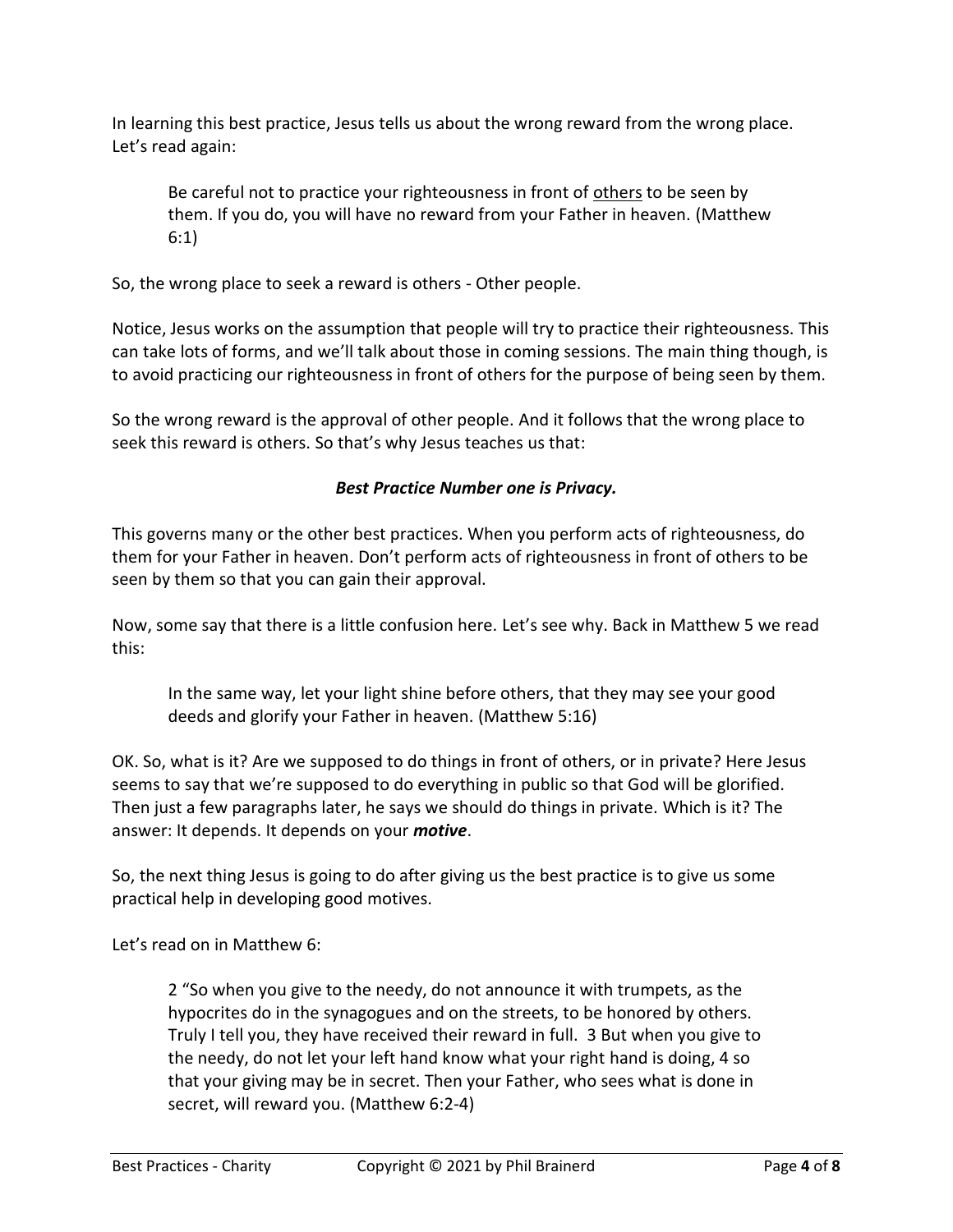In learning this best practice, Jesus tells us about the wrong reward from the wrong place. Let's read again:

Be careful not to practice your righteousness in front of others to be seen by them. If you do, you will have no reward from your Father in heaven. (Matthew 6:1)

So, the wrong place to seek a reward is others - Other people.

Notice, Jesus works on the assumption that people will try to practice their righteousness. This can take lots of forms, and we'll talk about those in coming sessions. The main thing though, is to avoid practicing our righteousness in front of others for the purpose of being seen by them.

So the wrong reward is the approval of other people. And it follows that the wrong place to seek this reward is others. So that's why Jesus teaches us that:

# *Best Practice Number one is Privacy.*

This governs many or the other best practices. When you perform acts of righteousness, do them for your Father in heaven. Don't perform acts of righteousness in front of others to be seen by them so that you can gain their approval.

Now, some say that there is a little confusion here. Let's see why. Back in Matthew 5 we read this:

In the same way, let your light shine before others, that they may see your good deeds and glorify your Father in heaven. (Matthew 5:16)

OK. So, what is it? Are we supposed to do things in front of others, or in private? Here Jesus seems to say that we're supposed to do everything in public so that God will be glorified. Then just a few paragraphs later, he says we should do things in private. Which is it? The answer: It depends. It depends on your *motive*.

So, the next thing Jesus is going to do after giving us the best practice is to give us some practical help in developing good motives.

Let's read on in Matthew 6:

2 "So when you give to the needy, do not announce it with trumpets, as the hypocrites do in the synagogues and on the streets, to be honored by others. Truly I tell you, they have received their reward in full. 3 But when you give to the needy, do not let your left hand know what your right hand is doing, 4 so that your giving may be in secret. Then your Father, who sees what is done in secret, will reward you. (Matthew 6:2-4)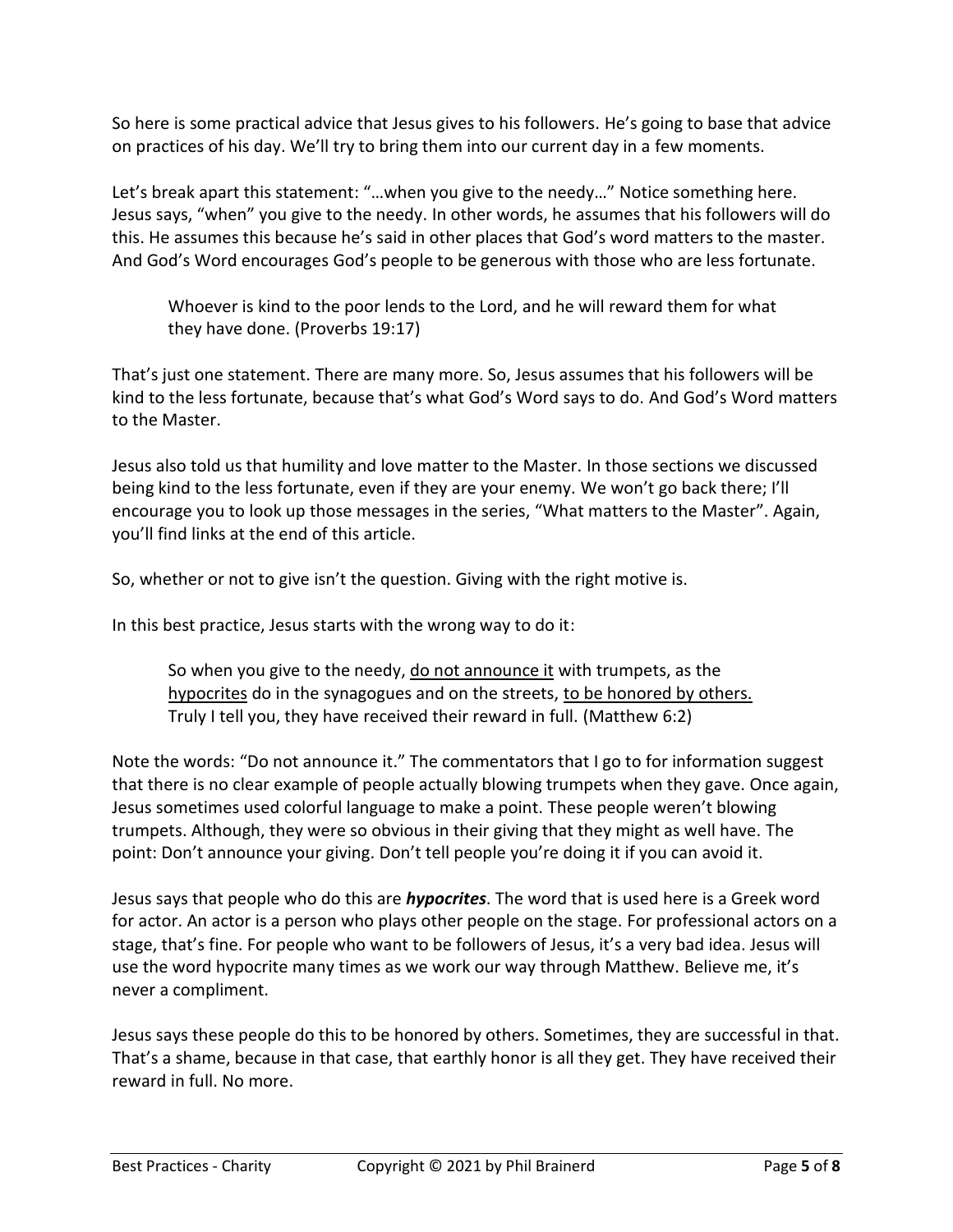So here is some practical advice that Jesus gives to his followers. He's going to base that advice on practices of his day. We'll try to bring them into our current day in a few moments.

Let's break apart this statement: "…when you give to the needy…" Notice something here. Jesus says, "when" you give to the needy. In other words, he assumes that his followers will do this. He assumes this because he's said in other places that God's word matters to the master. And God's Word encourages God's people to be generous with those who are less fortunate.

Whoever is kind to the poor lends to the Lord, and he will reward them for what they have done. (Proverbs 19:17)

That's just one statement. There are many more. So, Jesus assumes that his followers will be kind to the less fortunate, because that's what God's Word says to do. And God's Word matters to the Master.

Jesus also told us that humility and love matter to the Master. In those sections we discussed being kind to the less fortunate, even if they are your enemy. We won't go back there; I'll encourage you to look up those messages in the series, "What matters to the Master". Again, you'll find links at the end of this article.

So, whether or not to give isn't the question. Giving with the right motive is.

In this best practice, Jesus starts with the wrong way to do it:

So when you give to the needy, do not announce it with trumpets, as the hypocrites do in the synagogues and on the streets, to be honored by others. Truly I tell you, they have received their reward in full. (Matthew 6:2)

Note the words: "Do not announce it." The commentators that I go to for information suggest that there is no clear example of people actually blowing trumpets when they gave. Once again, Jesus sometimes used colorful language to make a point. These people weren't blowing trumpets. Although, they were so obvious in their giving that they might as well have. The point: Don't announce your giving. Don't tell people you're doing it if you can avoid it.

Jesus says that people who do this are *hypocrites*. The word that is used here is a Greek word for actor. An actor is a person who plays other people on the stage. For professional actors on a stage, that's fine. For people who want to be followers of Jesus, it's a very bad idea. Jesus will use the word hypocrite many times as we work our way through Matthew. Believe me, it's never a compliment.

Jesus says these people do this to be honored by others. Sometimes, they are successful in that. That's a shame, because in that case, that earthly honor is all they get. They have received their reward in full. No more.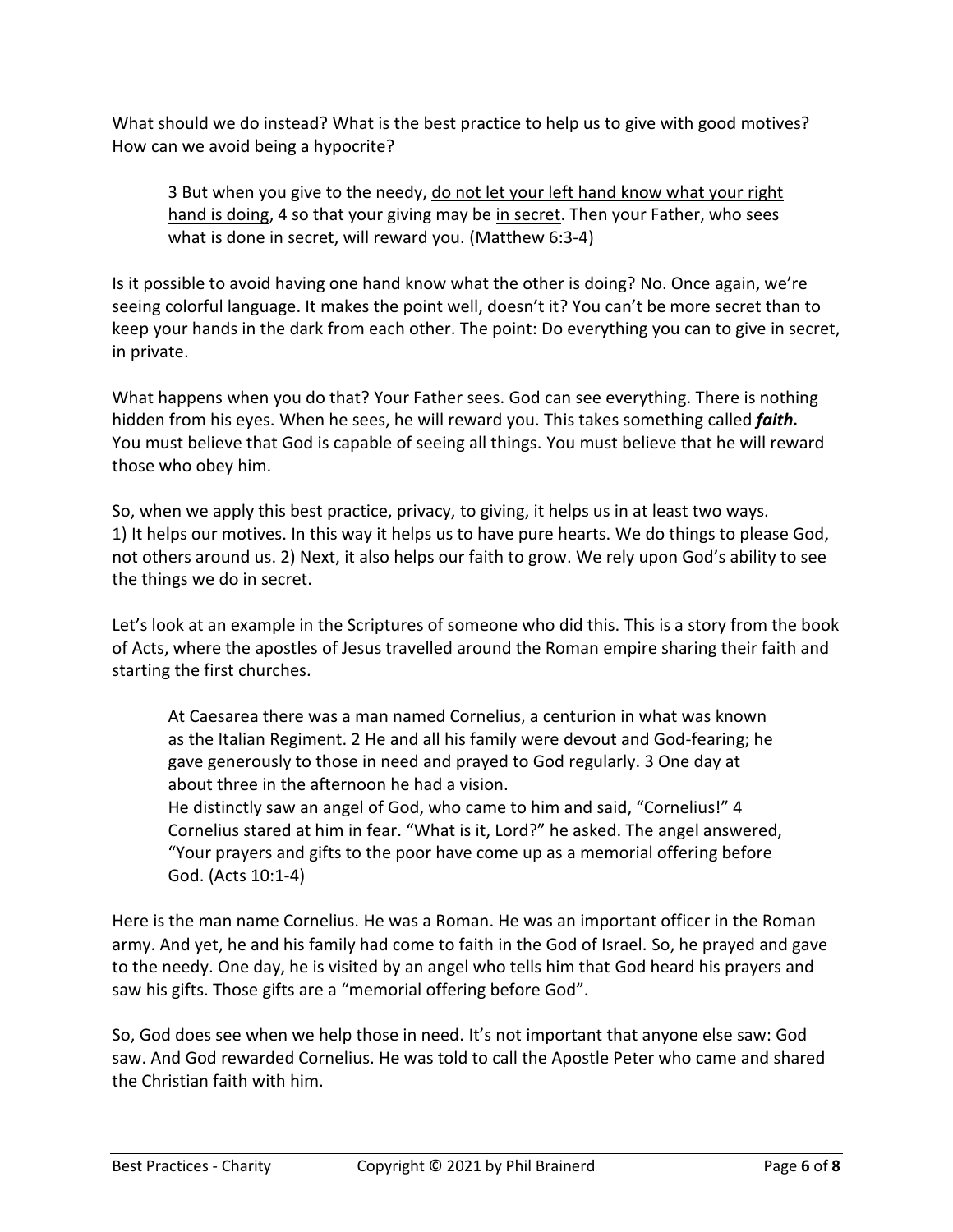What should we do instead? What is the best practice to help us to give with good motives? How can we avoid being a hypocrite?

3 But when you give to the needy, do not let your left hand know what your right hand is doing, 4 so that your giving may be in secret. Then your Father, who sees what is done in secret, will reward you. (Matthew 6:3-4)

Is it possible to avoid having one hand know what the other is doing? No. Once again, we're seeing colorful language. It makes the point well, doesn't it? You can't be more secret than to keep your hands in the dark from each other. The point: Do everything you can to give in secret, in private.

What happens when you do that? Your Father sees. God can see everything. There is nothing hidden from his eyes. When he sees, he will reward you. This takes something called *faith.* You must believe that God is capable of seeing all things. You must believe that he will reward those who obey him.

So, when we apply this best practice, privacy, to giving, it helps us in at least two ways. 1) It helps our motives. In this way it helps us to have pure hearts. We do things to please God, not others around us. 2) Next, it also helps our faith to grow. We rely upon God's ability to see the things we do in secret.

Let's look at an example in the Scriptures of someone who did this. This is a story from the book of Acts, where the apostles of Jesus travelled around the Roman empire sharing their faith and starting the first churches.

At Caesarea there was a man named Cornelius, a centurion in what was known as the Italian Regiment. 2 He and all his family were devout and God-fearing; he gave generously to those in need and prayed to God regularly. 3 One day at about three in the afternoon he had a vision.

He distinctly saw an angel of God, who came to him and said, "Cornelius!" 4 Cornelius stared at him in fear. "What is it, Lord?" he asked. The angel answered, "Your prayers and gifts to the poor have come up as a memorial offering before God. (Acts 10:1-4)

Here is the man name Cornelius. He was a Roman. He was an important officer in the Roman army. And yet, he and his family had come to faith in the God of Israel. So, he prayed and gave to the needy. One day, he is visited by an angel who tells him that God heard his prayers and saw his gifts. Those gifts are a "memorial offering before God".

So, God does see when we help those in need. It's not important that anyone else saw: God saw. And God rewarded Cornelius. He was told to call the Apostle Peter who came and shared the Christian faith with him.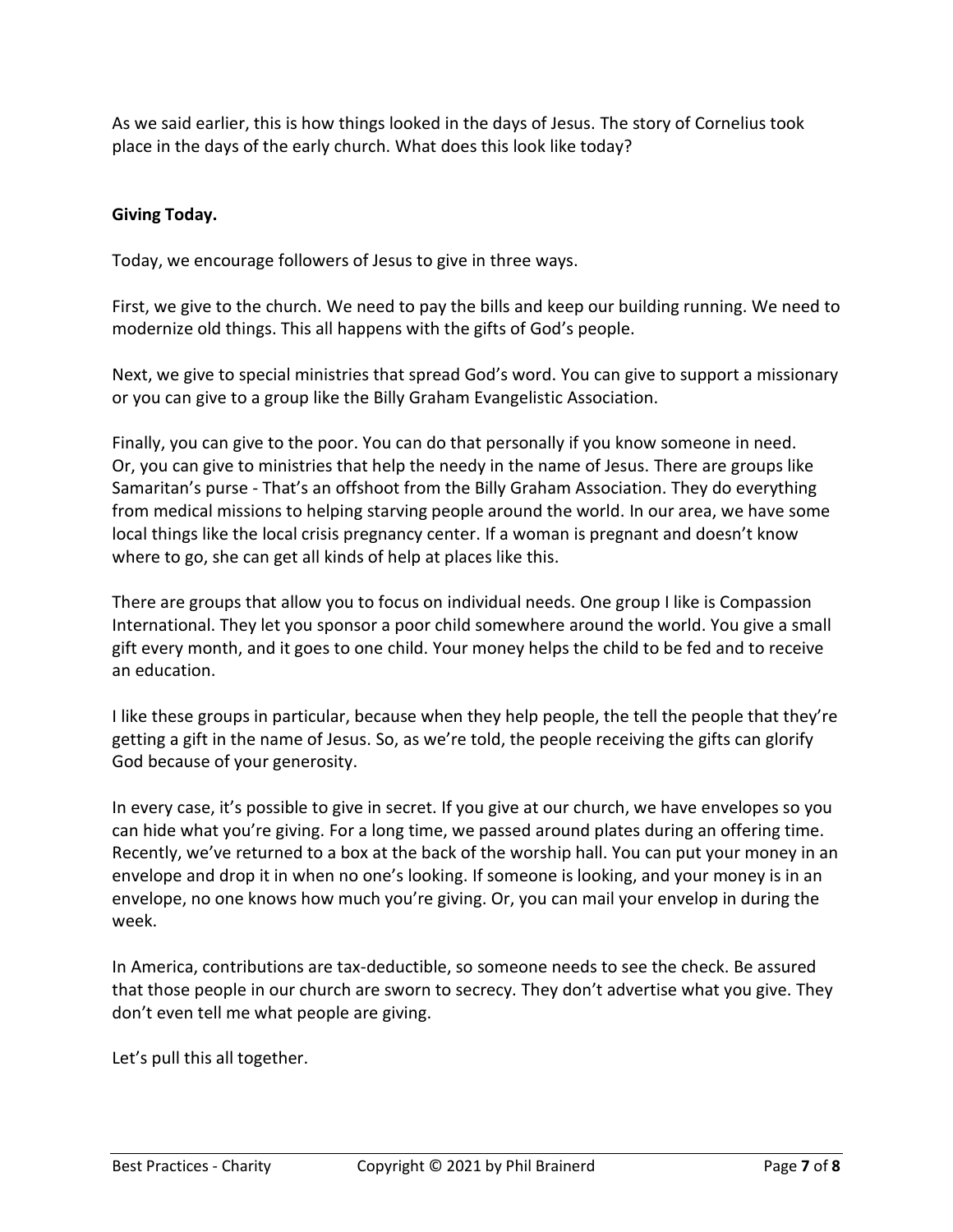As we said earlier, this is how things looked in the days of Jesus. The story of Cornelius took place in the days of the early church. What does this look like today?

# **Giving Today.**

Today, we encourage followers of Jesus to give in three ways.

First, we give to the church. We need to pay the bills and keep our building running. We need to modernize old things. This all happens with the gifts of God's people.

Next, we give to special ministries that spread God's word. You can give to support a missionary or you can give to a group like the Billy Graham Evangelistic Association.

Finally, you can give to the poor. You can do that personally if you know someone in need. Or, you can give to ministries that help the needy in the name of Jesus. There are groups like Samaritan's purse - That's an offshoot from the Billy Graham Association. They do everything from medical missions to helping starving people around the world. In our area, we have some local things like the local crisis pregnancy center. If a woman is pregnant and doesn't know where to go, she can get all kinds of help at places like this.

There are groups that allow you to focus on individual needs. One group I like is Compassion International. They let you sponsor a poor child somewhere around the world. You give a small gift every month, and it goes to one child. Your money helps the child to be fed and to receive an education.

I like these groups in particular, because when they help people, the tell the people that they're getting a gift in the name of Jesus. So, as we're told, the people receiving the gifts can glorify God because of your generosity.

In every case, it's possible to give in secret. If you give at our church, we have envelopes so you can hide what you're giving. For a long time, we passed around plates during an offering time. Recently, we've returned to a box at the back of the worship hall. You can put your money in an envelope and drop it in when no one's looking. If someone is looking, and your money is in an envelope, no one knows how much you're giving. Or, you can mail your envelop in during the week.

In America, contributions are tax-deductible, so someone needs to see the check. Be assured that those people in our church are sworn to secrecy. They don't advertise what you give. They don't even tell me what people are giving.

Let's pull this all together.